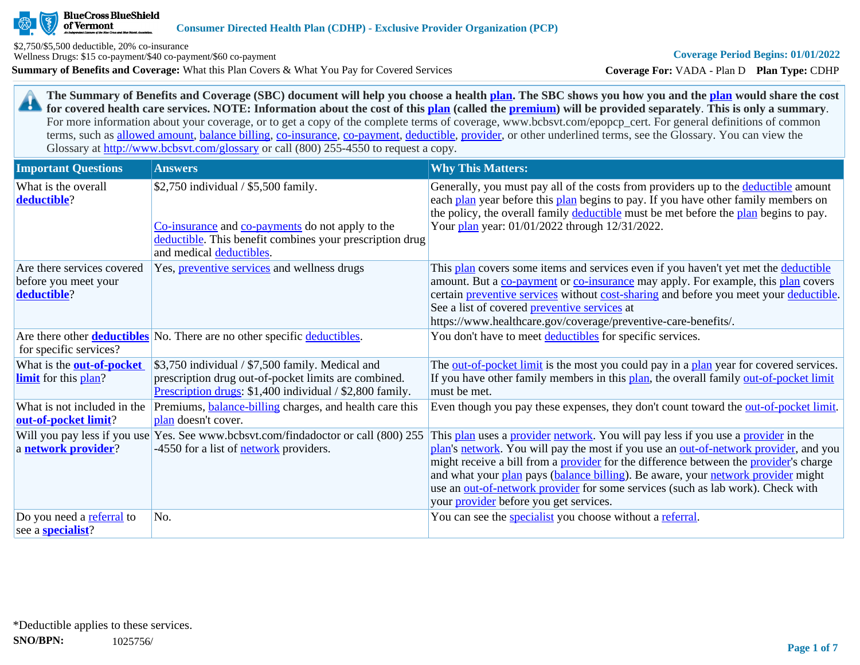**BlueCross BlueShield** 

of Vermont

**Summary of Benefits and Coverage:** What this Plan Covers & What You Pay for Covered Services \$2,750/\$5,500 deductible, 20% co-insurance Wellness Drugs: \$15 co-payment/\$40 co-payment/\$60 co-payment

**Coverage For:** VADA - Plan D **Plan Type:** CDHP

**The Summary of Benefits and Coverage (SBC) document will help you choose a health [plan](https://www.healthcare.gov/sbc-glossary/#plan). The SBC shows you how you and the [plan](https://www.healthcare.gov/sbc-glossary/#plan) would share the cost**  29 **for covered health care services. NOTE: Information about the cost of this [plan](https://www.healthcare.gov/sbc-glossary/#plan) (called the [premium](https://www.healthcare.gov/sbc-glossary/#premium)) will be provided separately**. **This is only a summary**. For more information about your coverage, or to get a copy of the complete terms of coverage, www.bcbsvt.com/epopcp\_cert. For general definitions of common terms, such as [allowed amount](https://www.healthcare.gov/sbc-glossary/#allowed-amount), [balance billing,](https://www.healthcare.gov/sbc-glossary/#balance-billing) [co-insurance,](https://www.healthcare.gov/sbc-glossary/#coinsurance) [co-payment,](https://www.healthcare.gov/sbc-glossary/#copayment) [deductible](https://www.healthcare.gov/sbc-glossary/#deductible), [provider,](https://www.healthcare.gov/sbc-glossary/#provider) or other underlined terms, see the Glossary. You can view the Glossary at <http://www.bcbsvt.com/glossary>or call (800) 255-4550 to request a copy.

| <b>Important Questions</b>                                        | <b>Answers</b>                                                                                                                                                                   | <b>Why This Matters:</b>                                                                                                                                                                                                                                                                                                                                                                                                                                                                                          |
|-------------------------------------------------------------------|----------------------------------------------------------------------------------------------------------------------------------------------------------------------------------|-------------------------------------------------------------------------------------------------------------------------------------------------------------------------------------------------------------------------------------------------------------------------------------------------------------------------------------------------------------------------------------------------------------------------------------------------------------------------------------------------------------------|
| What is the overall<br>deductible?                                | \$2,750 individual / \$5,500 family.<br>Co-insurance and co-payments do not apply to the<br>deductible. This benefit combines your prescription drug<br>and medical deductibles. | Generally, you must pay all of the costs from providers up to the deductible amount<br>each plan year before this plan begins to pay. If you have other family members on<br>the policy, the overall family deductible must be met before the plan begins to pay.<br>Your plan year: 01/01/2022 through 12/31/2022.                                                                                                                                                                                               |
| Are there services covered<br>before you meet your<br>deductible? | Yes, <i>preventive services</i> and wellness drugs                                                                                                                               | This plan covers some items and services even if you haven't yet met the deductible<br>amount. But a co-payment or co-insurance may apply. For example, this plan covers<br>certain preventive services without cost-sharing and before you meet your deductible.<br>See a list of covered preventive services at<br>https://www.healthcare.gov/coverage/preventive-care-benefits/.                                                                                                                               |
| for specific services?                                            | Are there other <b>deductibles</b> No. There are no other specific deductibles.                                                                                                  | You don't have to meet deductibles for specific services.                                                                                                                                                                                                                                                                                                                                                                                                                                                         |
| What is the <b>out-of-pocket</b><br><b>limit</b> for this plan?   | \$3,750 individual / \$7,500 family. Medical and<br>prescription drug out-of-pocket limits are combined.<br>Prescription drugs: \$1,400 individual / \$2,800 family.             | The out-of-pocket limit is the most you could pay in a plan year for covered services.<br>If you have other family members in this plan, the overall family out-of-pocket limit<br>must be met.                                                                                                                                                                                                                                                                                                                   |
| What is not included in the<br>out-of-pocket limit?               | Premiums, <b>balance-billing</b> charges, and health care this<br>plan doesn't cover.                                                                                            | Even though you pay these expenses, they don't count toward the <u>out-of-pocket limit</u> .                                                                                                                                                                                                                                                                                                                                                                                                                      |
| Will you pay less if you use<br>a network provider?               | Yes. See www.bcbsvt.com/findadoctor or call (800) 255<br>-4550 for a list of <b>network</b> providers.                                                                           | This plan uses a provider network. You will pay less if you use a provider in the<br>plan's network. You will pay the most if you use an <u>out-of-network provider</u> , and you<br>might receive a bill from a <b>provider</b> for the difference between the <b>provider</b> 's charge<br>and what your plan pays (balance billing). Be aware, your network provider might<br>use an out-of-network provider for some services (such as lab work). Check with<br>your <i>provider</i> before you get services. |
| Do you need a referral to<br>see a <b>specialist</b> ?            | No.                                                                                                                                                                              | You can see the <i>specialist</i> you choose without a <i>referral</i> .                                                                                                                                                                                                                                                                                                                                                                                                                                          |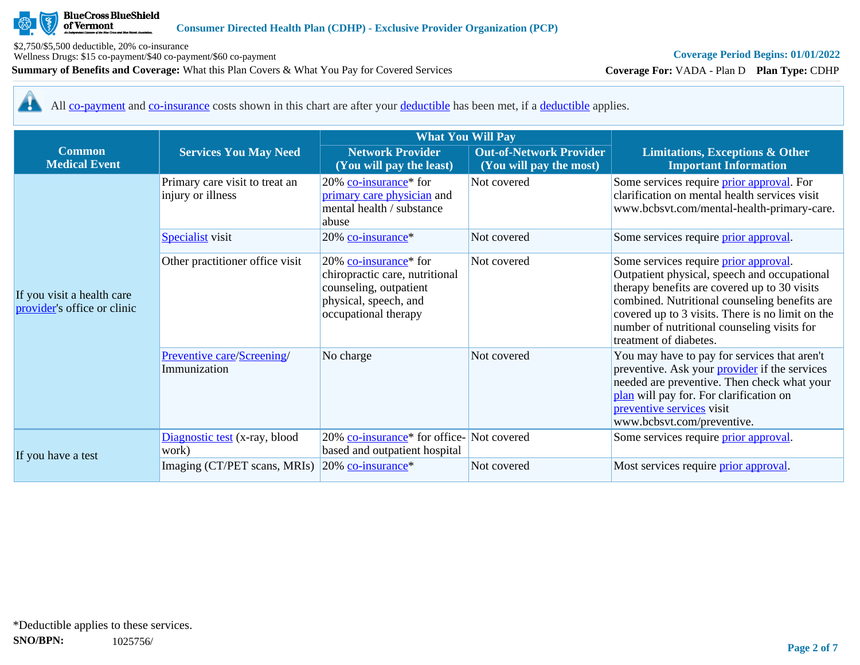

\$2,750/\$5,500 deductible, 20% co-insurance Wellness Drugs: \$15 co-payment/\$40 co-payment/\$60 co-payment

**Summary of Benefits and Coverage:** What this Plan Covers & What You Pay for Covered Services

# **Coverage Period Begins: 01/01/2022**

**Coverage For:** VADA - Plan D **Plan Type:** CDHP

<u>ar</u> All [co-payment](https://www.healthcare.gov/sbc-glossary/#copayment) and [co-insurance](https://www.healthcare.gov/sbc-glossary/#coinsurance) costs shown in this chart are after your [deductible](https://www.healthcare.gov/sbc-glossary/#deductible) has been met, if a [deductible](https://www.healthcare.gov/sbc-glossary/#deductible) applies.

|                                                           |                                                                                | <b>What You Will Pay</b>                                                                                                                          |                                                           |                                                                                                                                                                                                                                                                                                                     |
|-----------------------------------------------------------|--------------------------------------------------------------------------------|---------------------------------------------------------------------------------------------------------------------------------------------------|-----------------------------------------------------------|---------------------------------------------------------------------------------------------------------------------------------------------------------------------------------------------------------------------------------------------------------------------------------------------------------------------|
| <b>Common</b><br><b>Medical Event</b>                     | <b>Services You May Need</b>                                                   | <b>Network Provider</b><br>(You will pay the least)                                                                                               | <b>Out-of-Network Provider</b><br>(You will pay the most) | <b>Limitations, Exceptions &amp; Other</b><br><b>Important Information</b>                                                                                                                                                                                                                                          |
|                                                           | Primary care visit to treat an<br>injury or illness<br><b>Specialist</b> visit | 20% co-insurance <sup>*</sup> for<br>primary care physician and<br>mental health / substance<br>abuse<br>20% co-insurance*                        | Not covered<br>Not covered                                | Some services require <i>prior approval</i> . For<br>clarification on mental health services visit<br>www.bcbsvt.com/mental-health-primary-care.<br>Some services require prior approval.                                                                                                                           |
| If you visit a health care<br>provider's office or clinic | Other practitioner office visit                                                | $20\%$ co-insurance <sup>*</sup> for<br>chiropractic care, nutritional<br>counseling, outpatient<br>physical, speech, and<br>occupational therapy | Not covered                                               | Some services require prior approval.<br>Outpatient physical, speech and occupational<br>therapy benefits are covered up to 30 visits<br>combined. Nutritional counseling benefits are<br>covered up to 3 visits. There is no limit on the<br>number of nutritional counseling visits for<br>treatment of diabetes. |
|                                                           | Preventive care/Screening/<br>Immunization                                     | No charge                                                                                                                                         | Not covered                                               | You may have to pay for services that aren't<br>preventive. Ask your <b>provider</b> if the services<br>needed are preventive. Then check what your<br>plan will pay for. For clarification on<br>preventive services visit<br>www.bcbsvt.com/preventive.                                                           |
| If you have a test                                        | Diagnostic test (x-ray, blood<br>work)                                         | 20% co-insurance <sup>*</sup> for office-Not covered<br>based and outpatient hospital                                                             |                                                           | Some services require prior approval.                                                                                                                                                                                                                                                                               |
|                                                           | Imaging (CT/PET scans, MRIs)                                                   | $20\%$ co-insurance <sup>*</sup>                                                                                                                  | Not covered                                               | Most services require prior approval.                                                                                                                                                                                                                                                                               |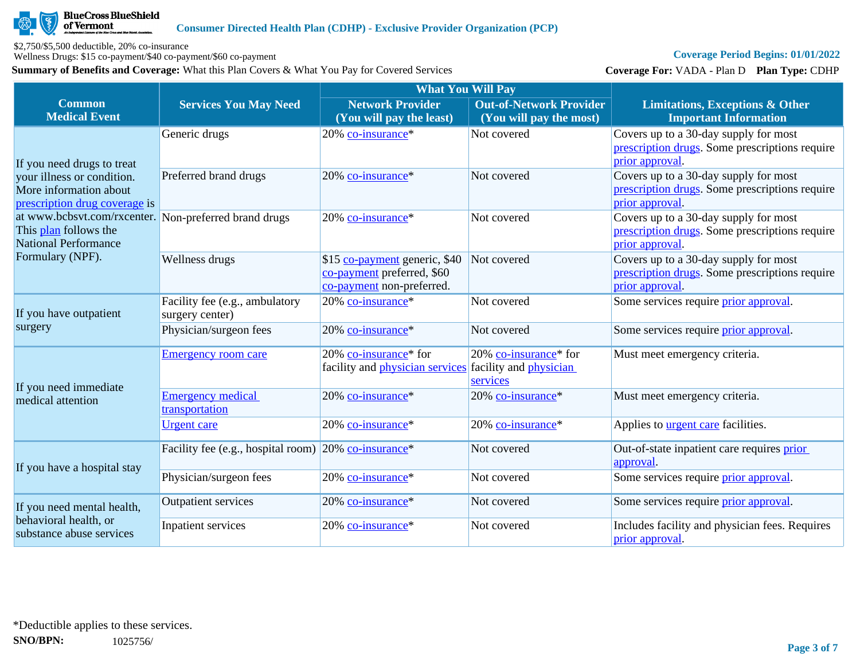

\$2,750/\$5,500 deductible, 20% co-insurance

Wellness Drugs: \$15 co-payment/\$40 co-payment/\$60 co-payment

**Summary of Benefits and Coverage:** What this Plan Covers & What You Pay for Covered Services

# **Coverage Period Begins: 01/01/2022**

**Coverage For:** VADA - Plan D **Plan Type:** CDHP

|                                                                                                               |                                                      | <b>What You Will Pay</b>                                                                 |                                                                                |                                                                                                            |
|---------------------------------------------------------------------------------------------------------------|------------------------------------------------------|------------------------------------------------------------------------------------------|--------------------------------------------------------------------------------|------------------------------------------------------------------------------------------------------------|
| <b>Common</b><br><b>Medical Event</b>                                                                         | <b>Services You May Need</b>                         | <b>Network Provider</b><br>(You will pay the least)                                      | <b>Out-of-Network Provider</b><br>(You will pay the most)                      | <b>Limitations, Exceptions &amp; Other</b><br><b>Important Information</b>                                 |
| If you need drugs to treat                                                                                    | Generic drugs                                        | 20% co-insurance*                                                                        | Not covered                                                                    | Covers up to a 30-day supply for most<br>prescription drugs. Some prescriptions require<br>prior approval  |
| your illness or condition.<br>More information about<br>prescription drug coverage is                         | Preferred brand drugs                                | 20% co-insurance*                                                                        | Not covered                                                                    | Covers up to a 30-day supply for most<br>prescription drugs. Some prescriptions require<br>prior approval. |
| at www.bcbsvt.com/rxcenter. Non-preferred brand drugs<br>This plan follows the<br><b>National Performance</b> |                                                      | 20% co-insurance*                                                                        | Not covered                                                                    | Covers up to a 30-day supply for most<br>prescription drugs. Some prescriptions require<br>prior approval. |
| Formulary (NPF).                                                                                              | Wellness drugs                                       | \$15 co-payment generic, \$40<br>co-payment preferred, \$60<br>co-payment non-preferred. | Not covered                                                                    | Covers up to a 30-day supply for most<br>prescription drugs. Some prescriptions require<br>prior approval  |
| If you have outpatient                                                                                        | Facility fee (e.g., ambulatory<br>surgery center)    | 20% co-insurance*                                                                        | Not covered                                                                    | Some services require prior approval.                                                                      |
| surgery                                                                                                       | Physician/surgeon fees                               | 20% co-insurance*                                                                        | Not covered                                                                    | Some services require prior approval.                                                                      |
|                                                                                                               | <b>Emergency room care</b>                           | 20% co-insurance* for<br>facility and <i>physician</i> services                          | 20% co-insurance <sup>*</sup> for<br>facility and <i>physician</i><br>services | Must meet emergency criteria.                                                                              |
| If you need immediate<br>medical attention                                                                    | <b>Emergency medical</b><br>transportation           | 20% co-insurance*                                                                        | 20% co-insurance*                                                              | Must meet emergency criteria.                                                                              |
|                                                                                                               | <b>Urgent</b> care                                   | 20% co-insurance*                                                                        | 20% co-insurance*                                                              | Applies to <b>urgent care</b> facilities.                                                                  |
| If you have a hospital stay                                                                                   | Facility fee (e.g., hospital room) 20% co-insurance* |                                                                                          | Not covered                                                                    | Out-of-state inpatient care requires prior<br>approval.                                                    |
|                                                                                                               | Physician/surgeon fees                               | 20% co-insurance*                                                                        | Not covered                                                                    | Some services require prior approval.                                                                      |
| If you need mental health,                                                                                    | <b>Outpatient services</b>                           | 20% co-insurance*                                                                        | Not covered                                                                    | Some services require <i>prior</i> approval.                                                               |
| behavioral health, or<br>substance abuse services                                                             | Inpatient services                                   | 20% co-insurance*                                                                        | Not covered                                                                    | Includes facility and physician fees. Requires<br>prior approval.                                          |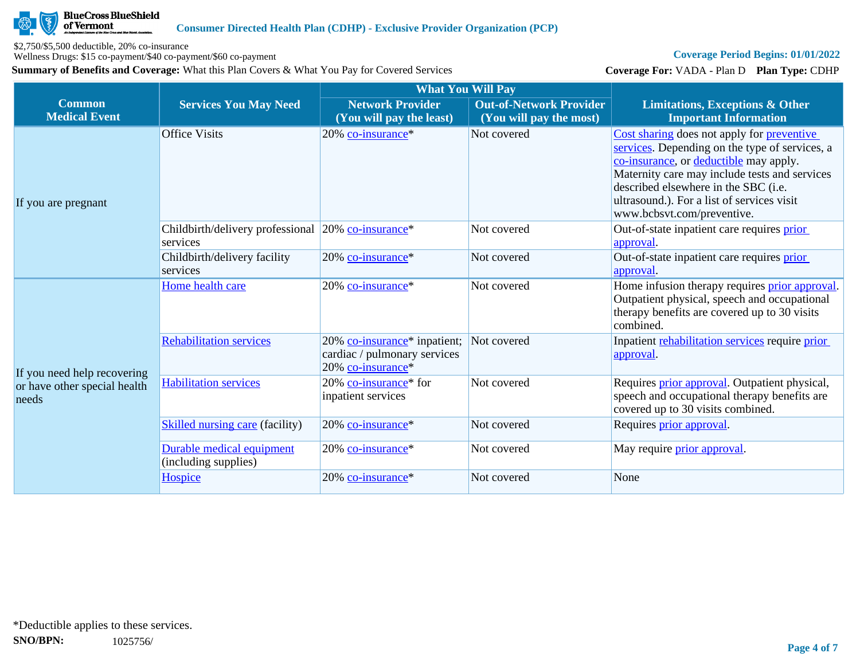

\$2,750/\$5,500 deductible, 20% co-insurance

Wellness Drugs: \$15 co-payment/\$40 co-payment/\$60 co-payment

**Summary of Benefits and Coverage:** What this Plan Covers & What You Pay for Covered Services

# **Coverage Period Begins: 01/01/2022**

**Coverage For:** VADA - Plan D **Plan Type:** CDHP

|                                                                      |                                                                | <b>What You Will Pay</b>                                                                      |                                                           |                                                                                                                                                                                                                                                                                                             |  |
|----------------------------------------------------------------------|----------------------------------------------------------------|-----------------------------------------------------------------------------------------------|-----------------------------------------------------------|-------------------------------------------------------------------------------------------------------------------------------------------------------------------------------------------------------------------------------------------------------------------------------------------------------------|--|
| <b>Common</b><br><b>Medical Event</b>                                | <b>Services You May Need</b>                                   | <b>Network Provider</b><br>(You will pay the least)                                           | <b>Out-of-Network Provider</b><br>(You will pay the most) | <b>Limitations, Exceptions &amp; Other</b><br><b>Important Information</b>                                                                                                                                                                                                                                  |  |
| If you are pregnant                                                  | <b>Office Visits</b>                                           | 20% co-insurance*                                                                             | Not covered                                               | Cost sharing does not apply for preventive<br>services. Depending on the type of services, a<br>co-insurance, or deductible may apply.<br>Maternity care may include tests and services<br>described elsewhere in the SBC (i.e.<br>ultrasound.). For a list of services visit<br>www.bcbsvt.com/preventive. |  |
|                                                                      | Childbirth/delivery professional 20% co-insurance*<br>services |                                                                                               | Not covered                                               | Out-of-state inpatient care requires prior<br>approval.                                                                                                                                                                                                                                                     |  |
|                                                                      | Childbirth/delivery facility<br>services                       | 20% co-insurance*                                                                             | Not covered                                               | Out-of-state inpatient care requires prior<br>approval.                                                                                                                                                                                                                                                     |  |
|                                                                      | Home health care                                               | 20% co-insurance*                                                                             | Not covered                                               | Home infusion therapy requires prior approval.<br>Outpatient physical, speech and occupational<br>therapy benefits are covered up to 30 visits<br>combined.                                                                                                                                                 |  |
| If you need help recovering<br>or have other special health<br>needs | <b>Rehabilitation services</b>                                 | 20% co-insurance <sup>*</sup> inpatient;<br>cardiac / pulmonary services<br>20% co-insurance* | Not covered                                               | Inpatient rehabilitation services require prior<br>approval.                                                                                                                                                                                                                                                |  |
|                                                                      | <b>Habilitation services</b>                                   | 20% co-insurance <sup>*</sup> for<br>inpatient services                                       | Not covered                                               | Requires <i>prior approval</i> . Outpatient physical,<br>speech and occupational therapy benefits are<br>covered up to 30 visits combined.                                                                                                                                                                  |  |
|                                                                      | <b>Skilled nursing care (facility)</b>                         | 20% co-insurance*                                                                             | Not covered                                               | Requires prior approval.                                                                                                                                                                                                                                                                                    |  |
|                                                                      | Durable medical equipment<br>(including supplies)              | 20% co-insurance*                                                                             | Not covered                                               | May require <i>prior approval</i> .                                                                                                                                                                                                                                                                         |  |
|                                                                      | Hospice                                                        | 20% co-insurance*                                                                             | Not covered                                               | None                                                                                                                                                                                                                                                                                                        |  |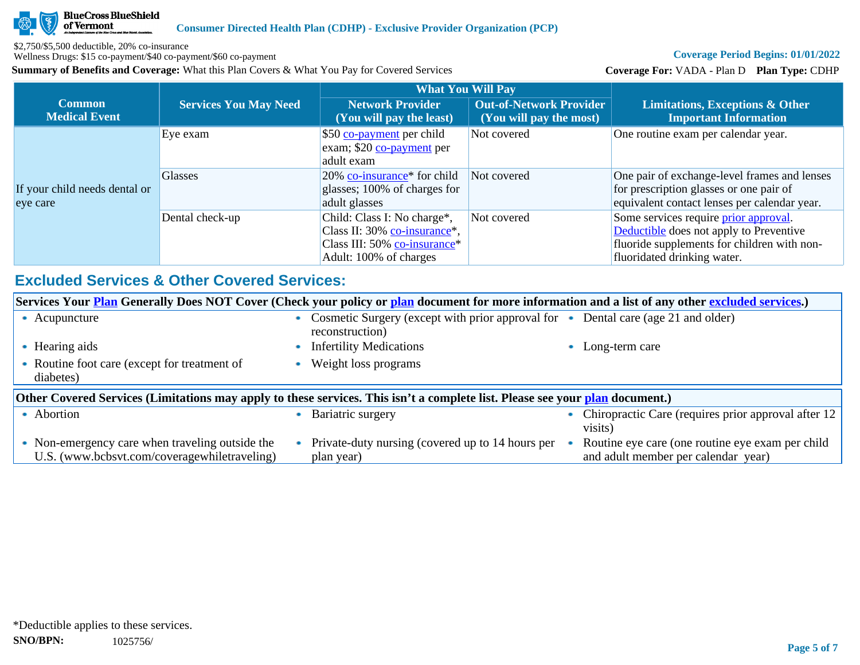

\$2,750/\$5,500 deductible, 20% co-insurance

Wellness Drugs: \$15 co-payment/\$40 co-payment/\$60 co-payment

**Summary of Benefits and Coverage:** What this Plan Covers & What You Pay for Covered Services

# **Coverage Period Begins: 01/01/2022**

**Coverage For:** VADA - Plan D **Plan Type:** CDHP

|                                           |                              | <b>What You Will Pay</b>                                                                                              |                                                           |                                                                                                                                                                       |
|-------------------------------------------|------------------------------|-----------------------------------------------------------------------------------------------------------------------|-----------------------------------------------------------|-----------------------------------------------------------------------------------------------------------------------------------------------------------------------|
| <b>Common</b><br><b>Medical Event</b>     | <b>Services You May Need</b> | <b>Network Provider</b><br>(You will pay the least)                                                                   | <b>Out-of-Network Provider</b><br>(You will pay the most) | Limitations, Exceptions & Other<br><b>Important Information</b>                                                                                                       |
|                                           | Eye exam                     | \$50 co-payment per child<br>exam; \$20 co-payment per<br>adult exam                                                  | Not covered                                               | One routine exam per calendar year.                                                                                                                                   |
| If your child needs dental or<br>eye care | <b>Glasses</b>               | $20\%$ co-insurance <sup>*</sup> for child<br>glasses; 100% of charges for<br>adult glasses                           | Not covered                                               | One pair of exchange-level frames and lenses<br>for prescription glasses or one pair of<br>equivalent contact lenses per calendar year.                               |
|                                           | Dental check-up              | Child: Class I: No charge*,<br>Class II: 30% co-insurance*,<br>Class III: 50% co-insurance*<br>Adult: 100% of charges | Not covered                                               | Some services require <i>prior</i> approval.<br>Deductible does not apply to Preventive<br>fluoride supplements for children with non-<br>fluoridated drinking water. |

# **Excluded Services & Other Covered Services:**

| Services Your <b>Plan</b> Generally Does NOT Cover (Check your policy or plan document for more information and a list of any other excluded services.) |  |                                                                                                      |  |                                                                                         |  |
|---------------------------------------------------------------------------------------------------------------------------------------------------------|--|------------------------------------------------------------------------------------------------------|--|-----------------------------------------------------------------------------------------|--|
| • Acupuncture                                                                                                                                           |  | Cosmetic Surgery (except with prior approval for • Dental care (age 21 and older)<br>reconstruction) |  |                                                                                         |  |
| Hearing aids                                                                                                                                            |  | <b>Infertility Medications</b>                                                                       |  | Long-term care                                                                          |  |
| Routine foot care (except for treatment of<br>diabetes)                                                                                                 |  | Weight loss programs                                                                                 |  |                                                                                         |  |
| Other Covered Services (Limitations may apply to these services. This isn't a complete list. Please see your plan document.)                            |  |                                                                                                      |  |                                                                                         |  |
| • Abortion                                                                                                                                              |  | Bariatric surgery                                                                                    |  | Chiropractic Care (requires prior approval after 12<br>visits)                          |  |
| • Non-emergency care when traveling outside the<br>U.S. (www.bcbsvt.com/coveragewhiletraveling)                                                         |  | Private-duty nursing (covered up to 14 hours per<br>plan year)                                       |  | Routine eye care (one routine eye exam per child<br>and adult member per calendar year) |  |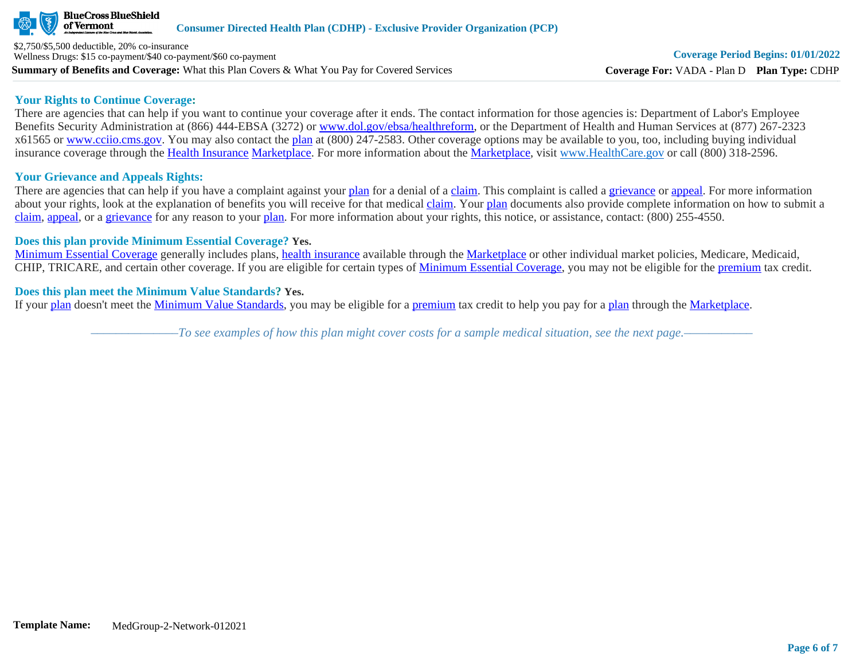

**Summary of Benefits and Coverage:** What this Plan Covers & What You Pay for Covered Services \$2,750/\$5,500 deductible, 20% co-insurance Wellness Drugs: \$15 co-payment/\$40 co-payment/\$60 co-payment

## **Your Rights to Continue Coverage:**

There are agencies that can help if you want to continue your coverage after it ends. The contact information for those agencies is: Department of Labor's Employee Benefits Security Administration at (866) 444-EBSA (3272) or [www.dol.gov/ebsa/healthreform](http://www.dol.gov/ebsa/healthreform), or the Department of Health and Human Services at (877) 267-2323 x61565 or [www.cciio.cms.gov](http://www.cciio.cms.gov/). You may also contact the [plan](https://www.healthcare.gov/sbc-glossary/#plan) at (800) 247-2583. Other coverage options may be available to you, too, including buying individual insurance coverage through the [Health Insurance](https://www.healthcare.gov/sbc-glossary/#health-insurance) [Marketplace.](https://www.healthcare.gov/sbc-glossary/#marketplace) For more information about the [Marketplace,](https://www.healthcare.gov/sbc-glossary/#marketplace) visit [www.HealthCare.gov](http://www.healthcare.gov/) or call (800) 318-2596.

# **Your Grievance and Appeals Rights:**

There are agencies that can help if you have a complaint against your [plan](https://www.healthcare.gov/sbc-glossary/#plan) for a denial of a [claim.](https://www.healthcare.gov/sbc-glossary/#claim) This complaint is called a [grievance](https://www.healthcare.gov/sbc-glossary/#grievance) or [appeal](https://www.healthcare.gov/sbc-glossary/#appeal). For more information about your rights, look at the explanation of benefits you will receive for that medical [claim](https://www.healthcare.gov/sbc-glossary/#claim). Your [plan](https://www.healthcare.gov/sbc-glossary/#plan) documents also provide complete information on how to submit a [claim](https://www.healthcare.gov/sbc-glossary/#claim), [appeal](https://www.healthcare.gov/sbc-glossary/#appeal), or a [grievance](https://www.healthcare.gov/sbc-glossary/#grievance) for any reason to your [plan.](https://www.healthcare.gov/sbc-glossary/#plan) For more information about your rights, this notice, or assistance, contact: (800) 255-4550.

# **Does this plan provide Minimum Essential Coverage? Yes.**

[Minimum Essential Coverage](https://www.healthcare.gov/sbc-glossary/#minimum-essential-coverage) generally includes plans, [health insurance](https://www.healthcare.gov/sbc-glossary/#health-insurance) available through the [Marketplace](https://www.healthcare.gov/sbc-glossary/#marketplace) or other individual market policies, Medicare, Medicaid, CHIP, TRICARE, and certain other coverage. If you are eligible for certain types of [Minimum Essential Coverage](https://www.healthcare.gov/sbc-glossary/#minimum-essential-coverage), you may not be eligible for the [premium](https://www.healthcare.gov/sbc-glossary/#premium) tax credit.

# **Does this plan meet the Minimum Value Standards? Yes.**

If your [plan](https://www.healthcare.gov/sbc-glossary/#plan) doesn't meet the [Minimum Value Standards](https://www.healthcare.gov/sbc-glossary/#minimum-value-standard), you may be eligible for a [premium](https://www.healthcare.gov/sbc-glossary/#premium) tax credit to help you pay for a [plan](https://www.healthcare.gov/sbc-glossary/#plan) through the [Marketplace](https://www.healthcare.gov/sbc-glossary/#marketplace).

*––––––––––––––To see examples of how this plan might cover costs for a sample medical situation, see the next page.–––––––––––*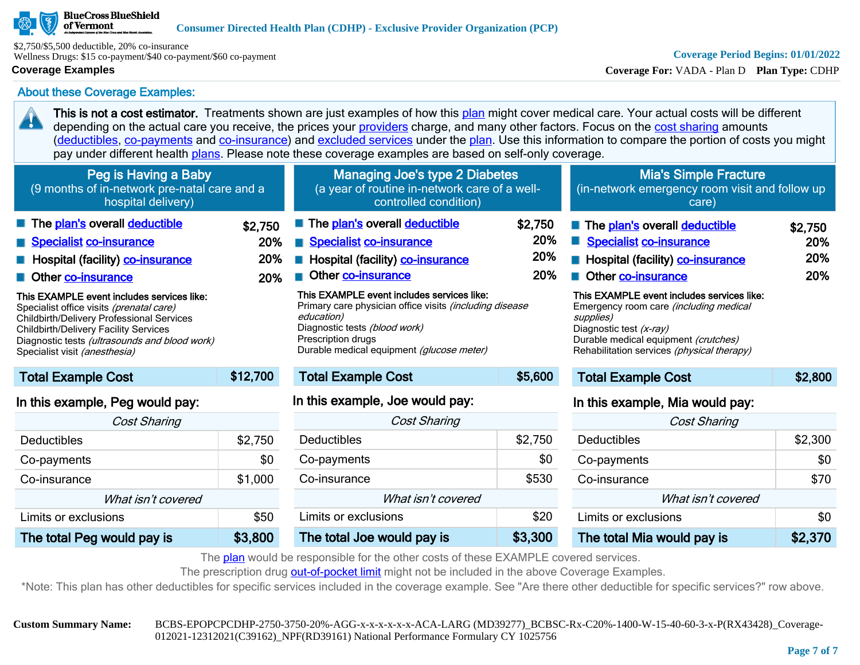## **BlueCross BlueShield** of Vermont

\$2,750/\$5,500 deductible, 20% co-insurance Wellness Drugs: \$15 co-payment/\$40 co-payment/\$60 co-payment

# **Coverage Examples**

20

# **Coverage Period Begins: 01/01/2022**

**Coverage For:** VADA - Plan D **Plan Type:** CDHP

About these Coverage Examples:

This is not a cost estimator. Treatments shown are just examples of how this [plan](https://www.healthcare.gov/sbc-glossary/#plan) might cover medical care. Your actual costs will be different depending on the actual care you receive, the prices your [providers](https://www.healthcare.gov/sbc-glossary/#provider) charge, and many other factors. Focus on the [cost sharing](https://www.healthcare.gov/sbc-glossary/#cost-sharing) amounts ([deductibles,](https://www.healthcare.gov/sbc-glossary/#deductible) [co-payments](https://www.healthcare.gov/sbc-glossary/#co-payment) and [co-insurance\)](https://www.healthcare.gov/sbc-glossary/#co-insurance) and [excluded services](https://www.healthcare.gov/sbc-glossary/#excluded-services) under the [plan](https://www.healthcare.gov/sbc-glossary/#plan). Use this information to compare the portion of costs you might pay under different health [plans.](https://www.healthcare.gov/sbc-glossary/#plan) Please note these coverage examples are based on self-only coverage.

| Peg is Having a Baby<br>(9 months of in-network pre-natal care and a<br>hospital delivery)                                                                                                                                                                                                                                                                                                                  |                              | <b>Managing Joe's type 2 Diabetes</b><br>(a year of routine in-network care of a well-<br>controlled condition)                                                                                                                                                                                                                                      |                              | <b>Mia's Simple Fracture</b><br>(in-network emergency room visit and follow up<br>care)                                                                                                                                                                                                                                                                       |                              |
|-------------------------------------------------------------------------------------------------------------------------------------------------------------------------------------------------------------------------------------------------------------------------------------------------------------------------------------------------------------------------------------------------------------|------------------------------|------------------------------------------------------------------------------------------------------------------------------------------------------------------------------------------------------------------------------------------------------------------------------------------------------------------------------------------------------|------------------------------|---------------------------------------------------------------------------------------------------------------------------------------------------------------------------------------------------------------------------------------------------------------------------------------------------------------------------------------------------------------|------------------------------|
| The plan's overall deductible<br>Specialist co-insurance<br><b>E</b> Hospital (facility) <b>co-insurance</b><br>Other co-insurance<br>This EXAMPLE event includes services like:<br>Specialist office visits (prenatal care)<br>Childbirth/Delivery Professional Services<br><b>Childbirth/Delivery Facility Services</b><br>Diagnostic tests (ultrasounds and blood work)<br>Specialist visit (anesthesia) | \$2,750<br>20%<br>20%<br>20% | The plan's overall deductible<br>Specialist co-insurance<br>Hospital (facility) co-insurance<br>Other co-insurance<br>This EXAMPLE event includes services like:<br>Primary care physician office visits <i>(including disease</i><br>education)<br>Diagnostic tests (blood work)<br>Prescription drugs<br>Durable medical equipment (glucose meter) | \$2,750<br>20%<br>20%<br>20% | The plan's overall deductible<br><b>Specialist co-insurance</b><br>Hospital (facility) co-insurance<br>a l<br>Other co-insurance<br>This EXAMPLE event includes services like:<br>Emergency room care <i>(including medical</i><br>supplies)<br>Diagnostic test (x-ray)<br>Durable medical equipment (crutches)<br>Rehabilitation services (physical therapy) | \$2,750<br>20%<br>20%<br>20% |
| <b>Total Example Cost</b>                                                                                                                                                                                                                                                                                                                                                                                   | \$12,700                     | <b>Total Example Cost</b>                                                                                                                                                                                                                                                                                                                            | \$5,600                      | <b>Total Example Cost</b>                                                                                                                                                                                                                                                                                                                                     | \$2,800                      |
| In this example, Peg would pay:                                                                                                                                                                                                                                                                                                                                                                             |                              | In this example, Joe would pay:                                                                                                                                                                                                                                                                                                                      |                              | In this example, Mia would pay:                                                                                                                                                                                                                                                                                                                               |                              |

| <b>Cost Sharing</b>        |         |  |  |
|----------------------------|---------|--|--|
| Deductibles                | \$2,750 |  |  |
| Co-payments                | \$0     |  |  |
| Co-insurance               | \$1,000 |  |  |
| What isn't covered         |         |  |  |
| Limits or exclusions       | \$50    |  |  |
| The total Peg would pay is | \$3,800 |  |  |

| Diagnosiic tests <i>(DIOOG WOTK)</i><br>Prescription drugs<br>Durable medical equipment (glucose meter) |         |  |  |  |
|---------------------------------------------------------------------------------------------------------|---------|--|--|--|
| <b>Total Example Cost</b>                                                                               | \$5,600 |  |  |  |
| In this example, Joe would pay:                                                                         |         |  |  |  |
| <b>Cost Sharing</b>                                                                                     |         |  |  |  |
| Deductibles                                                                                             | \$2,750 |  |  |  |
| Co-payments                                                                                             | \$0     |  |  |  |
| Co-insurance                                                                                            | \$530   |  |  |  |
| What isn't covered                                                                                      |         |  |  |  |
| Limits or exclusions                                                                                    | \$20    |  |  |  |
| The total Joe would pay is                                                                              | \$3,300 |  |  |  |

| III GIS CAGHIPIC, IVIIG WOULD DAY. |         |  |  |
|------------------------------------|---------|--|--|
| <b>Cost Sharing</b>                |         |  |  |
| Deductibles                        | \$2,300 |  |  |
| Co-payments                        | \$0     |  |  |
| Co-insurance                       | \$70    |  |  |
| What isn't covered                 |         |  |  |
| Limits or exclusions               |         |  |  |
| The total Mia would pay is         | \$2,370 |  |  |

The [plan](https://www.healthcare.gov/sbc-glossary/#plan) would be responsible for the other costs of these EXAMPLE covered services.

The prescription drug [out-of-pocket limit](https://www.healthcare.gov/sbc-glossary/#out-of-pocket-limit) might not be included in the above Coverage Examples.

\*Note: This plan has other deductibles for specific services included in the coverage example. See "Are there other deductible for specific services?" row above.

**Custom Summary Name:** BCBS-EPOPCPCDHP-2750-3750-20%-AGG-x-x-x-x-x-x-ACA-LARG (MD39277)\_BCBSC-Rx-C20%-1400-W-15-40-60-3-x-P(RX43428)\_Coverage-012021-12312021(C39162)\_NPF(RD39161) National Performance Formulary CY 1025756